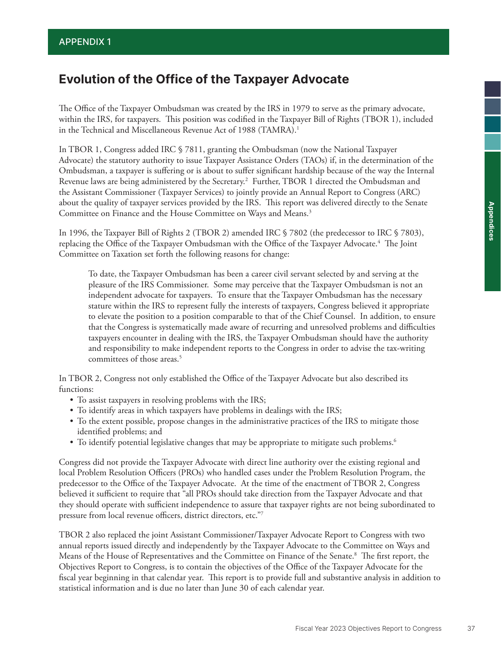# **Evolution of the Office of the Taxpayer Advocate**

The Office of the Taxpayer Ombudsman was created by the IRS in 1979 to serve as the primary advocate, within the IRS, for taxpayers. This position was codified in the Taxpayer Bill of Rights (TBOR 1), included in the Technical and Miscellaneous Revenue Act of 1988 (TAMRA).<sup>1</sup>

In TBOR 1, Congress added IRC § 7811, granting the Ombudsman (now the National Taxpayer Advocate) the statutory authority to issue Taxpayer Assistance Orders (TAOs) if, in the determination of the Ombudsman, a taxpayer is suffering or is about to suffer significant hardship because of the way the Internal Revenue laws are being administered by the Secretary.2 Further, TBOR 1 directed the Ombudsman and the Assistant Commissioner (Taxpayer Services) to jointly provide an Annual Report to Congress (ARC) about the quality of taxpayer services provided by the IRS. This report was delivered directly to the Senate Committee on Finance and the House Committee on Ways and Means.<sup>3</sup>

In 1996, the Taxpayer Bill of Rights 2 (TBOR 2) amended IRC § 7802 (the predecessor to IRC § 7803), replacing the Office of the Taxpayer Ombudsman with the Office of the Taxpayer Advocate.<sup>4</sup> The Joint Committee on Taxation set forth the following reasons for change:

To date, the Taxpayer Ombudsman has been a career civil servant selected by and serving at the pleasure of the IRS Commissioner. Some may perceive that the Taxpayer Ombudsman is not an independent advocate for taxpayers. To ensure that the Taxpayer Ombudsman has the necessary stature within the IRS to represent fully the interests of taxpayers, Congress believed it appropriate to elevate the position to a position comparable to that of the Chief Counsel. In addition, to ensure that the Congress is systematically made aware of recurring and unresolved problems and difficulties taxpayers encounter in dealing with the IRS, the Taxpayer Ombudsman should have the authority and responsibility to make independent reports to the Congress in order to advise the tax-writing committees of those areas.<sup>5</sup>

In TBOR 2, Congress not only established the Office of the Taxpayer Advocate but also described its functions:

- To assist taxpayers in resolving problems with the IRS;
- To identify areas in which taxpayers have problems in dealings with the IRS;
- To the extent possible, propose changes in the administrative practices of the IRS to mitigate those identified problems; and
- To identify potential legislative changes that may be appropriate to mitigate such problems.<sup>6</sup>

Congress did not provide the Taxpayer Advocate with direct line authority over the existing regional and local Problem Resolution Officers (PROs) who handled cases under the Problem Resolution Program, the predecessor to the Office of the Taxpayer Advocate. At the time of the enactment of TBOR 2, Congress believed it sufficient to require that "all PROs should take direction from the Taxpayer Advocate and that they should operate with sufficient independence to assure that taxpayer rights are not being subordinated to pressure from local revenue officers, district directors, etc."7

TBOR 2 also replaced the joint Assistant Commissioner/Taxpayer Advocate Report to Congress with two annual reports issued directly and independently by the Taxpayer Advocate to the Committee on Ways and Means of the House of Representatives and the Committee on Finance of the Senate.8 The first report, the Objectives Report to Congress, is to contain the objectives of the Office of the Taxpayer Advocate for the fiscal year beginning in that calendar year. This report is to provide full and substantive analysis in addition to statistical information and is due no later than June 30 of each calendar year.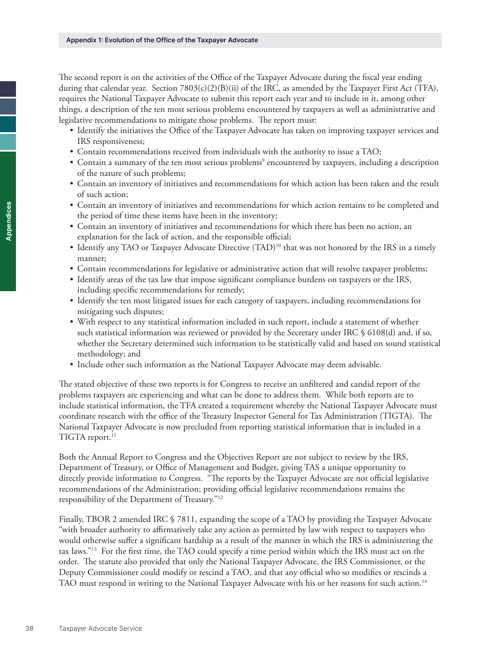The second report is on the activities of the Office of the Taxpayer Advocate during the fiscal year ending during that calendar year. Section  $7803(c)(2)(B)(ii)$  of the IRC, as amended by the Taxpayer First Act (TFA), requires the National Taxpayer Advocate to submit this report each year and to include in it, among other things, a description of the ten most serious problems encountered by taxpayers as well as administrative and legislative recommendations to mitigate those problems. The report must:

- Identify the initiatives the Office of the Taxpayer Advocate has taken on improving taxpayer services and IRS responsiveness;
- Contain recommendations received from individuals with the authority to issue a TAO;
- Contain a summary of the ten most serious problems<sup>9</sup> encountered by taxpayers, including a description of the nature of such problems;
- Contain an inventory of initiatives and recommendations for which action has been taken and the result of such action;
- Contain an inventory of initiatives and recommendations for which action remains to be completed and the period of time these items have been in the inventory;
- Contain an inventory of initiatives and recommendations for which there has been no action, an explanation for the lack of action, and the responsible official;
- Identify any TAO or Taxpayer Advocate Directive (TAD)<sup>10</sup> that was not honored by the IRS in a timely manner;
- Contain recommendations for legislative or administrative action that will resolve taxpayer problems;
- Identify areas of the tax law that impose significant compliance burdens on taxpayers or the IRS, including specific recommendations for remedy;
- Identify the ten most litigated issues for each category of taxpayers, including recommendations for mitigating such disputes;
- With respect to any statistical information included in such report, include a statement of whether such statistical information was reviewed or provided by the Secretary under IRC § 6108(d) and, if so, whether the Secretary determined such information to be statistically valid and based on sound statistical methodology; and
- Include other such information as the National Taxpayer Advocate may deem advisable.

The stated objective of these two reports is for Congress to receive an unfiltered and candid report of the problems taxpayers are experiencing and what can be done to address them. While both reports are to include statistical information, the TFA created a requirement whereby the National Taxpayer Advocate must coordinate research with the office of the Treasury Inspector General for Tax Administration (TIGTA). The National Taxpayer Advocate is now precluded from reporting statistical information that is included in a TIGTA report.<sup>11</sup>

Both the Annual Report to Congress and the Objectives Report are not subject to review by the IRS, Department of Treasury, or Office of Management and Budget, giving TAS a unique opportunity to directly provide information to Congress. "The reports by the Taxpayer Advocate are not official legislative recommendations of the Administration; providing official legislative recommendations remains the responsibility of the Department of Treasury."12

Finally, TBOR 2 amended IRC § 7811, expanding the scope of a TAO by providing the Taxpayer Advocate "with broader authority to affirmatively take any action as permitted by law with respect to taxpayers who would otherwise suffer a significant hardship as a result of the manner in which the IRS is administering the tax laws."13 For the first time, the TAO could specify a time period within which the IRS must act on the order. The statute also provided that only the National Taxpayer Advocate, the IRS Commissioner, or the Deputy Commissioner could modify or rescind a TAO, and that any official who so modifies or rescinds a TAO must respond in writing to the National Taxpayer Advocate with his or her reasons for such action.14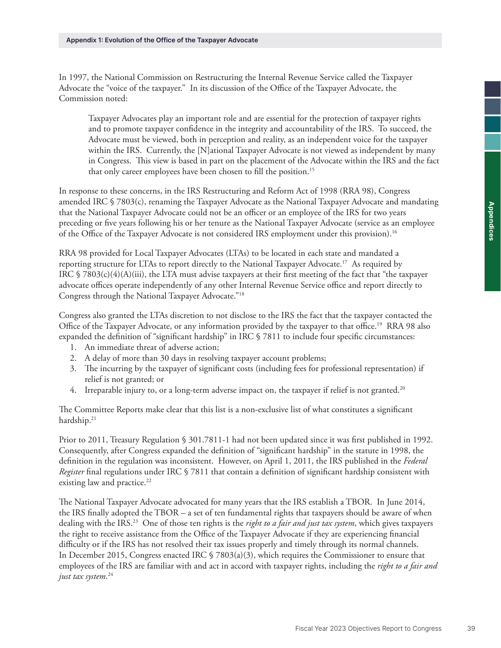In 1997, the National Commission on Restructuring the Internal Revenue Service called the Taxpayer Advocate the "voice of the taxpayer." In its discussion of the Office of the Taxpayer Advocate, the Commission noted:

Taxpayer Advocates play an important role and are essential for the protection of taxpayer rights and to promote taxpayer confidence in the integrity and accountability of the IRS. To succeed, the Advocate must be viewed, both in perception and reality, as an independent voice for the taxpayer within the IRS. Currently, the [N]ational Taxpayer Advocate is not viewed as independent by many in Congress. This view is based in part on the placement of the Advocate within the IRS and the fact that only career employees have been chosen to fill the position.<sup>15</sup>

In response to these concerns, in the IRS Restructuring and Reform Act of 1998 (RRA 98), Congress amended IRC § 7803(c), renaming the Taxpayer Advocate as the National Taxpayer Advocate and mandating that the National Taxpayer Advocate could not be an officer or an employee of the IRS for two years preceding or five years following his or her tenure as the National Taxpayer Advocate (service as an employee of the Office of the Taxpayer Advocate is not considered IRS employment under this provision).<sup>16</sup>

RRA 98 provided for Local Taxpayer Advocates (LTAs) to be located in each state and mandated a reporting structure for LTAs to report directly to the National Taxpayer Advocate.17 As required by IRC § 7803(c)(4)(A)(iii), the LTA must advise taxpayers at their first meeting of the fact that "the taxpayer advocate offices operate independently of any other Internal Revenue Service office and report directly to Congress through the National Taxpayer Advocate."18

Congress also granted the LTAs discretion to not disclose to the IRS the fact that the taxpayer contacted the Office of the Taxpayer Advocate, or any information provided by the taxpayer to that office.<sup>19</sup> RRA 98 also expanded the definition of "significant hardship" in IRC § 7811 to include four specific circumstances:

- 1. An immediate threat of adverse action;
- 2. A delay of more than 30 days in resolving taxpayer account problems;
- 3. The incurring by the taxpayer of significant costs (including fees for professional representation) if relief is not granted; or
- 4. Irreparable injury to, or a long-term adverse impact on, the taxpayer if relief is not granted.<sup>20</sup>

The Committee Reports make clear that this list is a non-exclusive list of what constitutes a significant hardship.<sup>21</sup>

Prior to 2011, Treasury Regulation § 301.7811-1 had not been updated since it was first published in 1992. Consequently, after Congress expanded the definition of "significant hardship" in the statute in 1998, the definition in the regulation was inconsistent. However, on April 1, 2011, the IRS published in the *Federal Register* final regulations under IRC § 7811 that contain a definition of significant hardship consistent with existing law and practice.<sup>22</sup>

The National Taxpayer Advocate advocated for many years that the IRS establish a TBOR. In June 2014, the IRS finally adopted the TBOR – a set of ten fundamental rights that taxpayers should be aware of when dealing with the IRS.23 One of those ten rights is the *right to a fair and just tax system*, which gives taxpayers the right to receive assistance from the Office of the Taxpayer Advocate if they are experiencing financial difficulty or if the IRS has not resolved their tax issues properly and timely through its normal channels. In December 2015, Congress enacted IRC § 7803(a)(3), which requires the Commissioner to ensure that employees of the IRS are familiar with and act in accord with taxpayer rights, including the *right to a fair and just tax system*. 24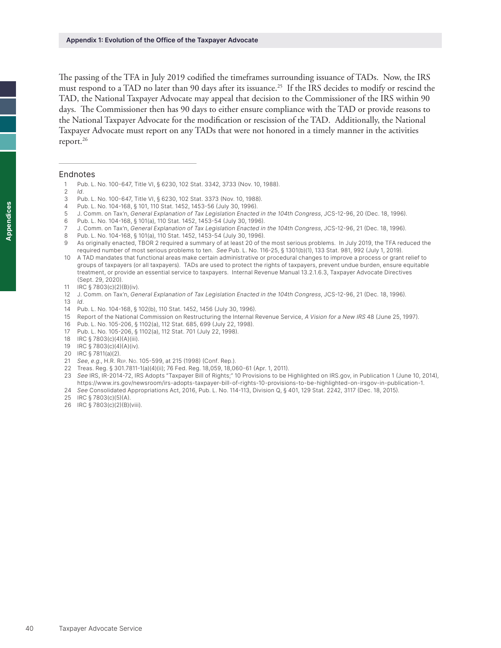The passing of the TFA in July 2019 codified the timeframes surrounding issuance of TADs. Now, the IRS must respond to a TAD no later than 90 days after its issuance.<sup>25</sup> If the IRS decides to modify or rescind the TAD, the National Taxpayer Advocate may appeal that decision to the Commissioner of the IRS within 90 days. The Commissioner then has 90 days to either ensure compliance with the TAD or provide reasons to the National Taxpayer Advocate for the modification or rescission of the TAD. Additionally, the National Taxpayer Advocate must report on any TADs that were not honored in a timely manner in the activities report.<sup>26</sup>

#### Endnotes

- Pub. L. No. 100-647, Title VI, § 6230, 102 Stat. 3342, 3733 (Nov. 10, 1988).
- *Id*.
- Pub. L. No. 100-647, Title VI, § 6230, 102 Stat. 3373 (Nov. 10, 1988).
- Pub. L. No. 104-168, § 101, 110 Stat. 1452, 1453-56 (July 30, 1996).
- J. Comm. on Tax'n, *General Explanation of Tax Legislation Enacted in the 104th Congress*, JCS-12-96, 20 (Dec. 18, 1996).
- Pub. L. No. 104-168, § 101(a), 110 Stat. 1452, 1453-54 (July 30, 1996).
- J. Comm. on Tax'n, *General Explanation of Tax Legislation Enacted in the 104th Congress*, JCS-12-96, 21 (Dec. 18, 1996).
- Pub. L. No. 104-168, § 101(a), 110 Stat. 1452, 1453-54 (July 30, 1996).
- As originally enacted, TBOR 2 required a summary of at least 20 of the most serious problems. In July 2019, the TFA reduced the required number of most serious problems to ten. *See* Pub. L. No. 116-25, § 1301(b)(1), 133 Stat. 981, 992 (July 1, 2019).
- A TAD mandates that functional areas make certain administrative or procedural changes to improve a process or grant relief to groups of taxpayers (or all taxpayers). TADs are used to protect the rights of taxpayers, prevent undue burden, ensure equitable treatment, or provide an essential service to taxpayers. Internal Revenue Manual 13.2.1.6.3, Taxpayer Advocate Directives (Sept. 29, 2020).
- IRC § 7803(c)(2)(B)(iv).
- J. Comm. on Tax'n, *General Explanation of Tax Legislation Enacted in the 104th Congress*, JCS-12-96, 21 (Dec. 18, 1996).
- *Id*.
- Pub. L. No. 104-168, § 102(b), 110 Stat. 1452, 1456 (July 30, 1996).
- Report of the National Commission on Restructuring the Internal Revenue Service, A Vision for a New IRS 48 (June 25, 1997).
- Pub. L. No. 105-206, § 1102(a), 112 Stat. 685, 699 (July 22, 1998).
- Pub. L. No. 105-206, § 1102(a), 112 Stat. 701 (July 22, 1998).
- IRC § 7803(c)(4)(A)(iii).
- IRC § 7803(c)(4)(A)(iv).
- IRC § 7811(a)(2).
- *See*, *e.g*., H.R. Rep. No. 105-599, at 215 (1998) (Conf. Rep.).
- Treas. Reg. § 301.7811-1(a)(4)(ii); 76 Fed. Reg. 18,059, 18,060-61 (Apr. 1, 2011).
- *See* IRS, IR-2014-72, IRS Adopts "Taxpayer Bill of Rights;" 10 Provisions to be Highlighted on IRS.gov, in Publication 1 (June 10, 2014), <https://www.irs.gov/newsroom/irs-adopts-taxpayer-bill-of-rights-10-provisions-to-be-highlighted-on-irsgov-in-publication-1>.
- *See* Consolidated Appropriations Act, 2016, Pub. L. No. 114-113, Division Q, § 401, 129 Stat. 2242, 3117 (Dec. 18, 2015).
- IRC § 7803(c)(5)(A).
- IRC § 7803(c)(2)(B)(viii).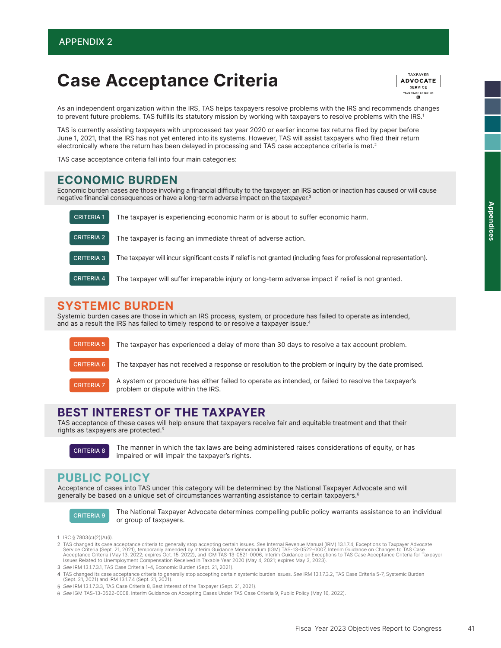# Case Acceptance Criteria

TAXPAYER **ADVOCATE** - SERVICE -**YOUR VOICE AT THE IRS** 

As an independent organization within the IRS, TAS helps taxpayers resolve problems with the IRS and recommends changes to prevent future problems. TAS fulfills its statutory mission by working with taxpayers to resolve problems with the IRS.1

TAS is currently assisting taxpayers with unprocessed tax year 2020 or earlier income tax returns filed by paper before June 1, 2021, that the IRS has not yet entered into its systems. However, TAS will assist taxpayers who filed their return electronically where the return has been delayed in processing and TAS case acceptance criteria is met.<sup>2</sup>

TAS case acceptance criteria fall into four main categories:

#### ECONOMIC BURDEN

Economic burden cases are those involving a financial difficulty to the taxpayer: an IRS action or inaction has caused or will cause negative financial consequences or have a long-term adverse impact on the taxpayer.3

| <b>CRITERIA 1</b> | The taxpayer is experiencing economic harm or is about to suffer economic harm.                                      |
|-------------------|----------------------------------------------------------------------------------------------------------------------|
| <b>CRITERIA 2</b> | The taxpayer is facing an immediate threat of adverse action.                                                        |
| <b>CRITERIA 3</b> | The taxpayer will incur significant costs if relief is not granted (including fees for professional representation). |
| <b>CRITERIA 4</b> | The taxpayer will suffer irreparable injury or long-term adverse impact if relief is not granted.                    |

### SYSTEMIC BURDEN

Systemic burden cases are those in which an IRS process, system, or procedure has failed to operate as intended, and as a result the IRS has failed to timely respond to or resolve a taxpayer issue.<sup>4</sup>



### BEST INTEREST OF THE TAXPAYER

problem or dispute within the IRS.

TAS acceptance of these cases will help ensure that taxpayers receive fair and equitable treatment and that their rights as taxpayers are protected.5

CRITERIA 8

The manner in which the tax laws are being administered raises considerations of equity, or has impaired or will impair the taxpayer's rights.

# PUBLIC POLICY

Acceptance of cases into TAS under this category will be determined by the National Taxpayer Advocate and will generally be based on a unique set of circumstances warranting assistance to certain taxpayers.6



The National Taxpayer Advocate determines compelling public policy warrants assistance to an individual CRITERIA 9 THE NATIONAL TAXPAYER

- IRC § 7803(c)(2)(A)(i). 1
- TAS changed its case acceptance criteria to generally stop accepting certain issues. See Internal Revenue Manual (IRM) 13.1.7.4, Exceptions to Taxpayer Advocate 2 Service Criteria (Sept. 21, 2021), temporarily amended by Interim Guidance Memorandum (IGM) TAS-13-0522-0007, Interim Guidance on Changes to TAS Case<br>Acceptance Criteria (May 13, 2022; expires Oct. 15, 2022), and IGM TAS-1 Issues Related to Unemployment Compensation Received in Taxable Year 2020 (May 4, 2021; expires May 3, 2023).
- 3 See IRM 13.1.7.3.1, TAS Case Criteria 1-4, Economic Burden (Sept. 21, 2021).
- TAS changed its case acceptance criteria to generally stop accepting certain systemic burden issues. See IRM 13.1.7.3.2, TAS Case Criteria 5-7, Systemic Burden (Sept. 21, 2021) and IRM 13.1.7.4 (Sept. 21, 2021). 4
- 5 See IRM 13.1.7.3.3, TAS Case Criteria 8, Best Interest of the Taxpayer (Sept. 21, 2021).
- 6 See IGM TAS-13-0522-0008, Interim Guidance on Accepting Cases Under TAS Case Criteria 9, Public Policy (May 16, 2022).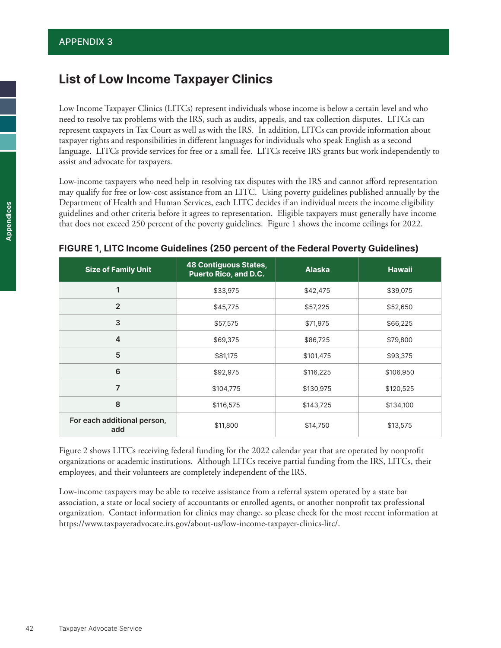# **List of Low Income Taxpayer Clinics**

Low Income Taxpayer Clinics (LITCs) represent individuals whose income is below a certain level and who need to resolve tax problems with the IRS, such as audits, appeals, and tax collection disputes. LITCs can represent taxpayers in Tax Court as well as with the IRS. In addition, LITCs can provide information about taxpayer rights and responsibilities in different languages for individuals who speak English as a second language. LITCs provide services for free or a small fee. LITCs receive IRS grants but work independently to assist and advocate for taxpayers.

Low-income taxpayers who need help in resolving tax disputes with the IRS and cannot afford representation may qualify for free or low-cost assistance from an LITC. Using poverty guidelines published annually by the Department of Health and Human Services, each LITC decides if an individual meets the income eligibility guidelines and other criteria before it agrees to representation. Eligible taxpayers must generally have income that does not exceed 250 percent of the poverty guidelines. Figure 1 shows the income ceilings for 2022.

| <b>Size of Family Unit</b>         | <b>48 Contiguous States,</b><br><b>Puerto Rico, and D.C.</b> | <b>Alaska</b> | Hawaii    |
|------------------------------------|--------------------------------------------------------------|---------------|-----------|
| $\mathbf{1}$                       | \$33,975                                                     | \$42,475      | \$39,075  |
| $\overline{2}$                     | \$45,775                                                     | \$57,225      | \$52,650  |
| 3                                  | \$57,575                                                     | \$71,975      | \$66,225  |
| $\overline{4}$                     | \$69,375                                                     | \$86,725      | \$79,800  |
| 5                                  | \$81,175                                                     | \$101,475     | \$93,375  |
| 6                                  | \$92,975                                                     | \$116,225     | \$106,950 |
| $\overline{7}$                     | \$104,775                                                    | \$130,975     | \$120,525 |
| 8                                  | \$116,575                                                    | \$143,725     | \$134,100 |
| For each additional person,<br>add | \$11,800                                                     | \$14,750      | \$13,575  |

#### **FIGURE 1, LITC Income Guidelines (250 percent of the Federal Poverty Guidelines)**

Figure 2 shows LITCs receiving federal funding for the 2022 calendar year that are operated by nonprofit organizations or academic institutions. Although LITCs receive partial funding from the IRS, LITCs, their employees, and their volunteers are completely independent of the IRS.

Low-income taxpayers may be able to receive assistance from a referral system operated by a state bar association, a state or local society of accountants or enrolled agents, or another nonprofit tax professional organization. Contact information for clinics may change, so please check for the most recent information at <https://www.taxpayeradvocate.irs.gov/about-us/low-income-taxpayer-clinics-litc/>.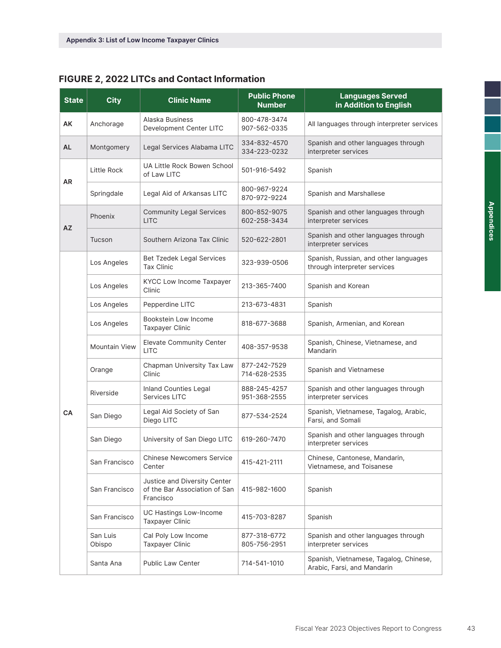### **FIGURE 2, 2022 LITCs and Contact Information**

| <b>State</b> | <b>City</b>          | <b>Clinic Name</b>                                                         | <b>Public Phone</b><br><b>Number</b> | <b>Languages Served</b><br>in Addition to English                     |
|--------------|----------------------|----------------------------------------------------------------------------|--------------------------------------|-----------------------------------------------------------------------|
| AΚ           | Anchorage            | Alaska Business<br>Development Center LITC                                 | 800-478-3474<br>907-562-0335         | All languages through interpreter services                            |
| <b>AL</b>    | Montgomery           | Legal Services Alabama LITC                                                | 334-832-4570<br>334-223-0232         | Spanish and other languages through<br>interpreter services           |
|              | Little Rock          | UA Little Rock Bowen School<br>of Law LITC                                 | 501-916-5492                         | Spanish                                                               |
| AR           | Springdale           | Legal Aid of Arkansas LITC                                                 | 800-967-9224<br>870-972-9224         | Spanish and Marshallese                                               |
|              | Phoenix              | <b>Community Legal Services</b><br><b>LITC</b>                             | 800-852-9075<br>602-258-3434         | Spanish and other languages through<br>interpreter services           |
| <b>AZ</b>    | Tucson               | Southern Arizona Tax Clinic                                                | 520-622-2801                         | Spanish and other languages through<br>interpreter services           |
|              | Los Angeles          | Bet Tzedek Legal Services<br><b>Tax Clinic</b>                             | 323-939-0506                         | Spanish, Russian, and other languages<br>through interpreter services |
|              | Los Angeles          | KYCC Low Income Taxpayer<br>Clinic                                         | 213-365-7400                         | Spanish and Korean                                                    |
|              | Los Angeles          | Pepperdine LITC                                                            | 213-673-4831                         | Spanish                                                               |
|              | Los Angeles          | Bookstein Low Income<br><b>Taxpayer Clinic</b>                             | 818-677-3688                         | Spanish, Armenian, and Korean                                         |
|              | <b>Mountain View</b> | <b>Elevate Community Center</b><br><b>LITC</b>                             | 408-357-9538                         | Spanish, Chinese, Vietnamese, and<br>Mandarin                         |
|              | Orange               | Chapman University Tax Law<br>Clinic                                       | 877-242-7529<br>714-628-2535         | Spanish and Vietnamese                                                |
|              | Riverside            | Inland Counties Legal<br>Services LITC                                     | 888-245-4257<br>951-368-2555         | Spanish and other languages through<br>interpreter services           |
| CA           | San Diego            | Legal Aid Society of San<br>Diego LITC                                     | 877-534-2524                         | Spanish, Vietnamese, Tagalog, Arabic,<br>Farsi, and Somali            |
|              | San Diego            | University of San Diego LITC                                               | 619-260-7470                         | Spanish and other languages through<br>interpreter services           |
|              | San Francisco        | <b>Chinese Newcomers Service</b><br>Center                                 | 415-421-2111                         | Chinese, Cantonese, Mandarin,<br>Vietnamese, and Toisanese            |
|              | San Francisco        | Justice and Diversity Center<br>of the Bar Association of San<br>Francisco | 415-982-1600                         | Spanish                                                               |
|              | San Francisco        | UC Hastings Low-Income<br><b>Taxpayer Clinic</b>                           | 415-703-8287                         | Spanish                                                               |
|              | San Luis<br>Obispo   | Cal Poly Low Income<br><b>Taxpayer Clinic</b>                              | 877-318-6772<br>805-756-2951         | Spanish and other languages through<br>interpreter services           |
|              | Santa Ana            | <b>Public Law Center</b>                                                   | 714-541-1010                         | Spanish, Vietnamese, Tagalog, Chinese,<br>Arabic, Farsi, and Mandarin |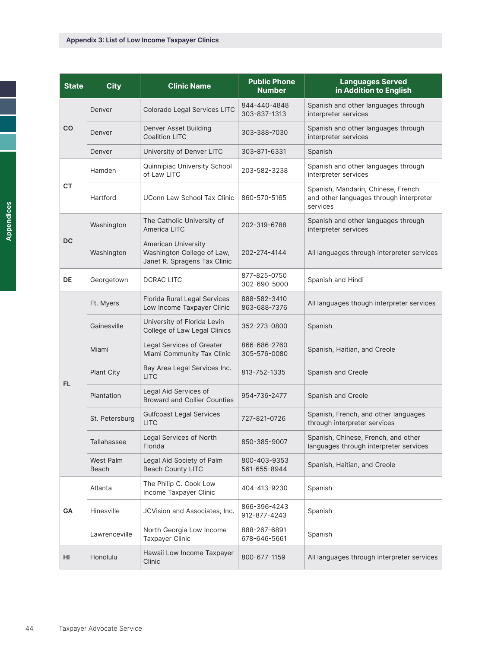| <b>State</b> | <b>City</b>        | <b>Clinic Name</b>                                                                       | <b>Public Phone</b><br><b>Number</b> | <b>Languages Served</b><br>in Addition to English                                         |
|--------------|--------------------|------------------------------------------------------------------------------------------|--------------------------------------|-------------------------------------------------------------------------------------------|
|              | Denver             | Colorado Legal Services LITC                                                             | 844-440-4848<br>303-837-1313         | Spanish and other languages through<br>interpreter services                               |
| CO           | Denver             | Denver Asset Building<br><b>Coalition LITC</b>                                           | 303-388-7030                         | Spanish and other languages through<br>interpreter services                               |
|              | Denver             | University of Denver LITC                                                                | 303-871-6331                         | Spanish                                                                                   |
|              | Hamden             | Quinnipiac University School<br>of Law LITC                                              | 203-582-3238                         | Spanish and other languages through<br>interpreter services                               |
| CT           | Hartford           | UConn Law School Tax Clinic                                                              | 860-570-5165                         | Spanish, Mandarin, Chinese, French<br>and other languages through interpreter<br>services |
|              | Washington         | The Catholic University of<br>America LITC                                               | 202-319-6788                         | Spanish and other languages through<br>interpreter services                               |
| <b>DC</b>    | Washington         | <b>American University</b><br>Washington College of Law,<br>Janet R. Spragens Tax Clinic | 202-274-4144                         | All languages through interpreter services                                                |
| DE           | Georgetown         | <b>DCRAC LITC</b>                                                                        | 877-825-0750<br>302-690-5000         | Spanish and Hindi                                                                         |
|              | Ft. Myers          | Florida Rural Legal Services<br>Low Income Taxpayer Clinic                               | 888-582-3410<br>863-688-7376         | All languages though interpreter services                                                 |
|              | Gainesville        | University of Florida Levin<br>College of Law Legal Clinics                              | 352-273-0800                         | Spanish                                                                                   |
|              | Miami              | Legal Services of Greater<br>Miami Community Tax Clinic                                  | 866-686-2760<br>305-576-0080         | Spanish, Haitian, and Creole                                                              |
| FL.          | <b>Plant City</b>  | Bay Area Legal Services Inc.<br><b>LITC</b>                                              | 813-752-1335                         | Spanish and Creole                                                                        |
|              | Plantation         | Legal Aid Services of<br><b>Broward and Collier Counties</b>                             | 954-736-2477                         | Spanish and Creole                                                                        |
|              | St. Petersburg     | <b>Gulfcoast Legal Services</b><br><b>LITC</b>                                           | 727-821-0726                         | Spanish, French, and other languages<br>through interpreter services                      |
|              | Tallahassee        | Legal Services of North<br>Florida                                                       | 850-385-9007                         | Spanish, Chinese, French, and other<br>languages through interpreter services             |
|              | West Palm<br>Beach | Legal Aid Society of Palm<br><b>Beach County LITC</b>                                    | 800-403-9353<br>561-655-8944         | Spanish, Haitian, and Creole                                                              |
|              | Atlanta            | The Philip C. Cook Low<br>Income Taxpayer Clinic                                         | 404-413-9230                         | Spanish                                                                                   |
| GA           | Hinesville         | JCVision and Associates, Inc.                                                            | 866-396-4243<br>912-877-4243         | Spanish                                                                                   |
|              | Lawrenceville      | North Georgia Low Income<br>Taxpayer Clinic                                              | 888-267-6891<br>678-646-5661         | Spanish                                                                                   |
| HI           | Honolulu           | Hawaii Low Income Taxpayer<br>Clinic                                                     | 800-677-1159                         | All languages through interpreter services                                                |

ī F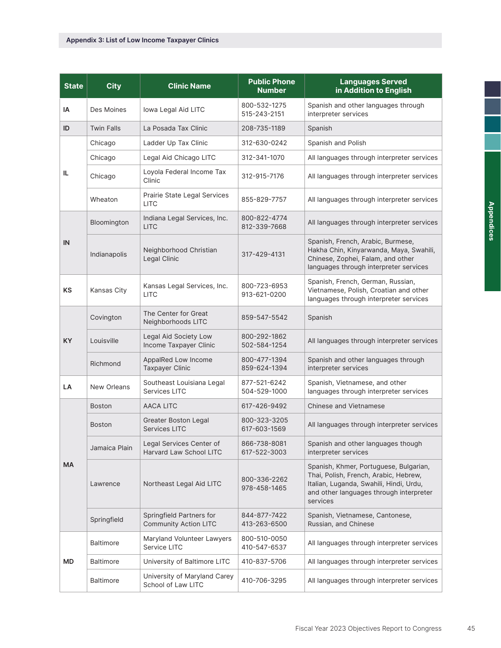| <b>State</b> | <b>City</b>       | <b>Clinic Name</b>                                       | <b>Public Phone</b><br><b>Number</b> | <b>Languages Served</b><br>in Addition to English                                                                                                                                 |
|--------------|-------------------|----------------------------------------------------------|--------------------------------------|-----------------------------------------------------------------------------------------------------------------------------------------------------------------------------------|
| IA           | Des Moines        | lowa Legal Aid LITC                                      | 800-532-1275<br>515-243-2151         | Spanish and other languages through<br>interpreter services                                                                                                                       |
| ID           | <b>Twin Falls</b> | La Posada Tax Clinic                                     | 208-735-1189                         | Spanish                                                                                                                                                                           |
|              | Chicago           | Ladder Up Tax Clinic                                     | 312-630-0242                         | Spanish and Polish                                                                                                                                                                |
|              | Chicago           | Legal Aid Chicago LITC                                   | 312-341-1070                         | All languages through interpreter services                                                                                                                                        |
| IL           | Chicago           | Loyola Federal Income Tax<br>Clinic                      | 312-915-7176                         | All languages through interpreter services                                                                                                                                        |
|              | Wheaton           | Prairie State Legal Services<br><b>LITC</b>              | 855-829-7757                         | All languages through interpreter services                                                                                                                                        |
|              | Bloomington       | Indiana Legal Services, Inc.<br><b>LITC</b>              | 800-822-4774<br>812-339-7668         | All languages through interpreter services                                                                                                                                        |
| IN           | Indianapolis      | Neighborhood Christian<br>Legal Clinic                   | 317-429-4131                         | Spanish, French, Arabic, Burmese,<br>Hakha Chin, Kinyarwanda, Maya, Swahili,<br>Chinese, Zophei, Falam, and other<br>languages through interpreter services                       |
| <b>KS</b>    | Kansas City       | Kansas Legal Services, Inc.<br><b>LITC</b>               | 800-723-6953<br>913-621-0200         | Spanish, French, German, Russian,<br>Vietnamese, Polish, Croatian and other<br>languages through interpreter services                                                             |
|              | Covington         | The Center for Great<br>Neighborhoods LITC               | 859-547-5542                         | Spanish                                                                                                                                                                           |
| <b>KY</b>    | Louisville        | Legal Aid Society Low<br>Income Taxpayer Clinic          | 800-292-1862<br>502-584-1254         | All languages through interpreter services                                                                                                                                        |
|              | Richmond          | AppalRed Low Income<br><b>Taxpayer Clinic</b>            | 800-477-1394<br>859-624-1394         | Spanish and other languages through<br>interpreter services                                                                                                                       |
| LA           | New Orleans       | Southeast Louisiana Legal<br>Services LITC               | 877-521-6242<br>504-529-1000         | Spanish, Vietnamese, and other<br>languages through interpreter services                                                                                                          |
|              | <b>Boston</b>     | <b>AACA LITC</b>                                         | 617-426-9492                         | <b>Chinese and Vietnamese</b>                                                                                                                                                     |
|              | <b>Boston</b>     | <b>Greater Boston Legal</b><br>Services LITC             | 800-323-3205<br>617-603-1569         | All languages through interpreter services                                                                                                                                        |
|              | Jamaica Plain     | Legal Services Center of<br>Harvard Law School LITC      | 866-738-8081<br>617-522-3003         | Spanish and other languages though<br>interpreter services                                                                                                                        |
| МA           | Lawrence          | Northeast Legal Aid LITC                                 | 800-336-2262<br>978-458-1465         | Spanish, Khmer, Portuguese, Bulgarian,<br>Thai, Polish, French, Arabic, Hebrew,<br>Italian, Luganda, Swahili, Hindi, Urdu,<br>and other languages through interpreter<br>services |
|              | Springfield       | Springfield Partners for<br><b>Community Action LITC</b> | 844-877-7422<br>413-263-6500         | Spanish, Vietnamese, Cantonese,<br>Russian, and Chinese                                                                                                                           |
|              | <b>Baltimore</b>  | Maryland Volunteer Lawyers<br>Service LITC               | 800-510-0050<br>410-547-6537         | All languages through interpreter services                                                                                                                                        |
| МD           | <b>Baltimore</b>  | University of Baltimore LITC                             | 410-837-5706                         | All languages through interpreter services                                                                                                                                        |
|              | <b>Baltimore</b>  | University of Maryland Carey<br>School of Law LITC       | 410-706-3295                         | All languages through interpreter services                                                                                                                                        |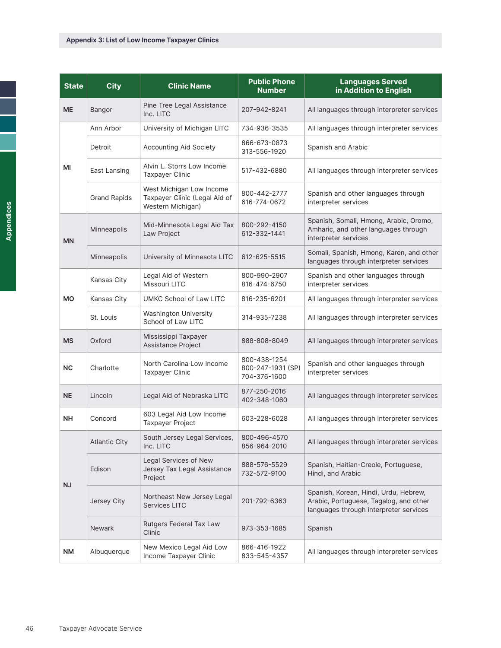| <b>State</b> | <b>City</b>          | <b>Clinic Name</b>                                                             | <b>Public Phone</b><br><b>Number</b>              | <b>Languages Served</b><br>in Addition to English                                                                         |
|--------------|----------------------|--------------------------------------------------------------------------------|---------------------------------------------------|---------------------------------------------------------------------------------------------------------------------------|
| <b>ME</b>    | Bangor               | Pine Tree Legal Assistance<br>Inc. LITC                                        | 207-942-8241                                      | All languages through interpreter services                                                                                |
|              | Ann Arbor            | University of Michigan LITC                                                    | 734-936-3535                                      | All languages through interpreter services                                                                                |
|              | Detroit              | <b>Accounting Aid Society</b>                                                  | 866-673-0873<br>313-556-1920                      | Spanish and Arabic                                                                                                        |
| МI           | East Lansing         | Alvin L. Storrs Low Income<br><b>Taxpayer Clinic</b>                           | 517-432-6880                                      | All languages through interpreter services                                                                                |
|              | <b>Grand Rapids</b>  | West Michigan Low Income<br>Taxpayer Clinic (Legal Aid of<br>Western Michigan) | 800-442-2777<br>616-774-0672                      | Spanish and other languages through<br>interpreter services                                                               |
| <b>MN</b>    | Minneapolis          | Mid-Minnesota Legal Aid Tax<br>Law Project                                     | 800-292-4150<br>612-332-1441                      | Spanish, Somali, Hmong, Arabic, Oromo,<br>Amharic, and other languages through<br>interpreter services                    |
|              | Minneapolis          | University of Minnesota LITC                                                   | 612-625-5515                                      | Somali, Spanish, Hmong, Karen, and other<br>languages through interpreter services                                        |
|              | Kansas City          | Legal Aid of Western<br>Missouri LITC                                          | 800-990-2907<br>816-474-6750                      | Spanish and other languages through<br>interpreter services                                                               |
| <b>MO</b>    | Kansas City          | UMKC School of Law LITC                                                        | 816-235-6201                                      | All languages through interpreter services                                                                                |
|              | St. Louis            | <b>Washington University</b><br>School of Law LITC                             | 314-935-7238                                      | All languages through interpreter services                                                                                |
| <b>MS</b>    | Oxford               | Mississippi Taxpayer<br>Assistance Project                                     | 888-808-8049                                      | All languages through interpreter services                                                                                |
| <b>NC</b>    | Charlotte            | North Carolina Low Income<br><b>Taxpayer Clinic</b>                            | 800-438-1254<br>800-247-1931 (SP)<br>704-376-1600 | Spanish and other languages through<br>interpreter services                                                               |
| <b>NE</b>    | Lincoln              | Legal Aid of Nebraska LITC                                                     | 877-250-2016<br>402-348-1060                      | All languages through interpreter services                                                                                |
| <b>NH</b>    | Concord              | 603 Legal Aid Low Income<br><b>Taxpayer Project</b>                            | 603-228-6028                                      | All languages through interpreter services                                                                                |
|              | <b>Atlantic City</b> | South Jersey Legal Services,<br>Inc. LITC                                      | 800-496-4570<br>856-964-2010                      | All languages through interpreter services                                                                                |
| NJ           | Edison               | Legal Services of New<br>Jersey Tax Legal Assistance<br>Project                | 888-576-5529<br>732-572-9100                      | Spanish, Haitian-Creole, Portuguese,<br>Hindi, and Arabic                                                                 |
|              | Jersey City          | Northeast New Jersey Legal<br><b>Services LITC</b>                             | 201-792-6363                                      | Spanish, Korean, Hindi, Urdu, Hebrew,<br>Arabic, Portuguese, Tagalog, and other<br>languages through interpreter services |
|              | <b>Newark</b>        | Rutgers Federal Tax Law<br>Clinic                                              | 973-353-1685                                      | Spanish                                                                                                                   |
| <b>NM</b>    | Albuquerque          | New Mexico Legal Aid Low<br>Income Taxpayer Clinic                             | 866-416-1922<br>833-545-4357                      | All languages through interpreter services                                                                                |

ī F

÷,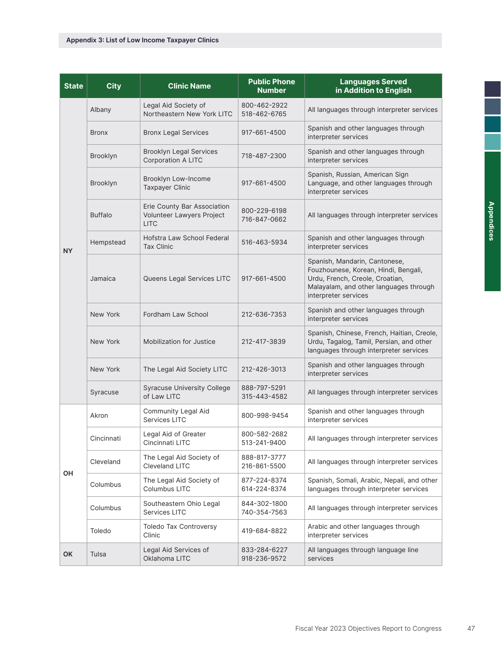| <b>State</b> | <b>City</b>    | <b>Clinic Name</b>                                                      | <b>Public Phone</b><br><b>Number</b> | <b>Languages Served</b><br>in Addition to English                                                                                                                          |
|--------------|----------------|-------------------------------------------------------------------------|--------------------------------------|----------------------------------------------------------------------------------------------------------------------------------------------------------------------------|
|              | Albany         | Legal Aid Society of<br>Northeastern New York LITC                      | 800-462-2922<br>518-462-6765         | All languages through interpreter services                                                                                                                                 |
|              | <b>Bronx</b>   | <b>Bronx Legal Services</b>                                             | 917-661-4500                         | Spanish and other languages through<br>interpreter services                                                                                                                |
|              | Brooklyn       | <b>Brooklyn Legal Services</b><br><b>Corporation A LITC</b>             | 718-487-2300                         | Spanish and other languages through<br>interpreter services                                                                                                                |
|              | Brooklyn       | Brooklyn Low-Income<br><b>Taxpayer Clinic</b>                           | 917-661-4500                         | Spanish, Russian, American Sign<br>Language, and other languages through<br>interpreter services                                                                           |
|              | <b>Buffalo</b> | Erie County Bar Association<br>Volunteer Lawyers Project<br><b>LITC</b> | 800-229-6198<br>716-847-0662         | All languages through interpreter services                                                                                                                                 |
| NY           | Hempstead      | Hofstra Law School Federal<br><b>Tax Clinic</b>                         | 516-463-5934                         | Spanish and other languages through<br>interpreter services                                                                                                                |
|              | Jamaica        | Queens Legal Services LITC                                              | 917-661-4500                         | Spanish, Mandarin, Cantonese,<br>Fouzhounese, Korean, Hindi, Bengali,<br>Urdu, French, Creole, Croatian,<br>Malayalam, and other languages through<br>interpreter services |
|              | New York       | Fordham Law School                                                      | 212-636-7353                         | Spanish and other languages through<br>interpreter services                                                                                                                |
|              | New York       | Mobilization for Justice                                                | 212-417-3839                         | Spanish, Chinese, French, Haitian, Creole,<br>Urdu, Tagalog, Tamil, Persian, and other<br>languages through interpreter services                                           |
|              | New York       | The Legal Aid Society LITC                                              | 212-426-3013                         | Spanish and other languages through<br>interpreter services                                                                                                                |
|              | Syracuse       | <b>Syracuse University College</b><br>of Law LITC                       | 888-797-5291<br>315-443-4582         | All languages through interpreter services                                                                                                                                 |
|              | Akron          | Community Legal Aid<br>Services LITC                                    | 800-998-9454                         | Spanish and other languages through<br>interpreter services                                                                                                                |
|              | Cincinnati     | Legal Aid of Greater<br>Cincinnati LITC                                 | 800-582-2682<br>513-241-9400         | All languages through interpreter services                                                                                                                                 |
| OH           | Cleveland      | The Legal Aid Society of<br>Cleveland LITC                              | 888-817-3777<br>216-861-5500         | All languages through interpreter services                                                                                                                                 |
|              | Columbus       | The Legal Aid Society of<br>Columbus LITC                               | 877-224-8374<br>614-224-8374         | Spanish, Somali, Arabic, Nepali, and other<br>languages through interpreter services                                                                                       |
|              | Columbus       | Southeastern Ohio Legal<br>Services LITC                                | 844-302-1800<br>740-354-7563         | All languages through interpreter services                                                                                                                                 |
|              | Toledo         | <b>Toledo Tax Controversy</b><br>Clinic                                 | 419-684-8822                         | Arabic and other languages through<br>interpreter services                                                                                                                 |
| <b>OK</b>    | Tulsa          | Legal Aid Services of<br>Oklahoma LITC                                  | 833-284-6227<br>918-236-9572         | All languages through language line<br>services                                                                                                                            |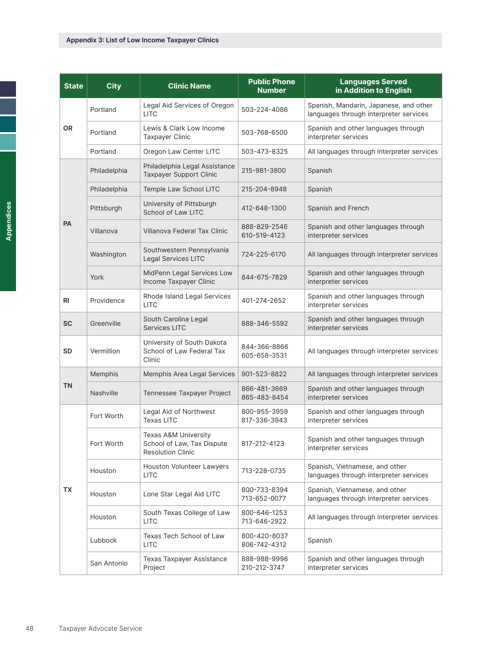| <b>State</b>   | <b>City</b>  | <b>Clinic Name</b>                                                                        | <b>Public Phone</b><br><b>Number</b> | <b>Languages Served</b><br>in Addition to English                                |
|----------------|--------------|-------------------------------------------------------------------------------------------|--------------------------------------|----------------------------------------------------------------------------------|
|                | Portland     | Legal Aid Services of Oregon<br><b>LITC</b>                                               | 503-224-4086                         | Spanish, Mandarin, Japanese, and other<br>languages through interpreter services |
| OR             | Portland     | Lewis & Clark Low Income<br><b>Taxpayer Clinic</b>                                        | 503-768-6500                         | Spanish and other languages through<br>interpreter services                      |
|                | Portland     | Oregon Law Center LITC                                                                    | 503-473-8325                         | All languages through interpreter services                                       |
|                | Philadelphia | Philadelphia Legal Assistance<br><b>Taxpayer Support Clinic</b>                           | 215-981-3800                         | Spanish                                                                          |
|                | Philadelphia | Temple Law School LITC                                                                    | 215-204-8948                         | Spanish                                                                          |
|                | Pittsburgh   | University of Pittsburgh<br>School of Law LITC                                            | 412-648-1300                         | Spanish and French                                                               |
| <b>PA</b>      | Villanova    | Villanova Federal Tax Clinic                                                              | 888-829-2546<br>610-519-4123         | Spanish and other languages through<br>interpreter services                      |
|                | Washington   | Southwestern Pennsylvania<br>Legal Services LITC                                          | 724-225-6170                         | All languages through interpreter services                                       |
|                | York         | MidPenn Legal Services Low<br>Income Taxpayer Clinic                                      | 844-675-7829                         | Spanish and other languages through<br>interpreter services                      |
| R <sub>l</sub> | Providence   | Rhode Island Legal Services<br><b>LITC</b>                                                | 401-274-2652                         | Spanish and other languages through<br>interpreter services                      |
| <b>SC</b>      | Greenville   | South Carolina Legal<br><b>Services LITC</b>                                              | 888-346-5592                         | Spanish and other languages through<br>interpreter services                      |
| <b>SD</b>      | Vermillion   | University of South Dakota<br>School of Law Federal Tax<br>Clinic                         | 844-366-8866<br>605-658-3531         | All languages through interpreter services                                       |
|                | Memphis      | Memphis Area Legal Services                                                               | 901-523-8822                         | All languages through interpreter services                                       |
| ΤN             | Nashville    | Tennessee Taxpayer Project                                                                | 866-481-3669<br>865-483-8454         | Spanish and other languages through<br>interpreter services                      |
|                | Fort Worth   | Legal Aid of Northwest<br><b>Texas LITC</b>                                               | 800-955-3959<br>817-336-3943         | Spanish and other languages through<br>interpreter services                      |
|                | Fort Worth   | <b>Texas A&amp;M University</b><br>School of Law, Tax Dispute<br><b>Resolution Clinic</b> | 817-212-4123                         | Spanish and other languages through<br>interpreter services                      |
|                | Houston      | Houston Volunteer Lawyers<br><b>LITC</b>                                                  | 713-228-0735                         | Spanish, Vietnamese, and other<br>languages through interpreter services         |
| TX             | Houston      | Lone Star Legal Aid LITC                                                                  | 800-733-8394<br>713-652-0077         | Spanish, Vietnamese, and other<br>languages through interpreter services         |
|                | Houston      | South Texas College of Law<br><b>LITC</b>                                                 | 800-646-1253<br>713-646-2922         | All languages through interpreter services                                       |
|                | Lubbock      | Texas Tech School of Law<br><b>LITC</b>                                                   | 800-420-8037<br>806-742-4312         | Spanish                                                                          |
|                | San Antonio  | Texas Taxpayer Assistance<br>Project                                                      | 888-988-9996<br>210-212-3747         | Spanish and other languages through<br>interpreter services                      |

ī ı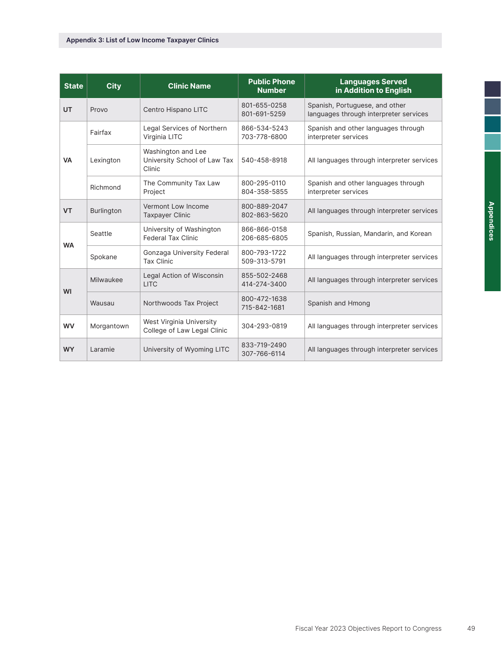| <b>State</b> | <b>City</b> | <b>Clinic Name</b>                                           | <b>Public Phone</b><br><b>Number</b> | <b>Languages Served</b><br>in Addition to English                        |
|--------------|-------------|--------------------------------------------------------------|--------------------------------------|--------------------------------------------------------------------------|
| <b>UT</b>    | Provo       | Centro Hispano LITC                                          | 801-655-0258<br>801-691-5259         | Spanish, Portuguese, and other<br>languages through interpreter services |
|              | Fairfax     | Legal Services of Northern<br>Virginia LITC                  | 866-534-5243<br>703-778-6800         | Spanish and other languages through<br>interpreter services              |
| <b>VA</b>    | Lexington   | Washington and Lee<br>University School of Law Tax<br>Clinic | 540-458-8918                         | All languages through interpreter services                               |
|              | Richmond    | The Community Tax Law<br>Project                             | 800-295-0110<br>804-358-5855         | Spanish and other languages through<br>interpreter services              |
| <b>VT</b>    | Burlington  | Vermont Low Income<br><b>Taxpayer Clinic</b>                 | 800-889-2047<br>802-863-5620         | All languages through interpreter services                               |
| <b>WA</b>    | Seattle     | University of Washington<br><b>Federal Tax Clinic</b>        | 866-866-0158<br>206-685-6805         | Spanish, Russian, Mandarin, and Korean                                   |
|              | Spokane     | Gonzaga University Federal<br><b>Tax Clinic</b>              | 800-793-1722<br>509-313-5791         | All languages through interpreter services                               |
| WI           | Milwaukee   | Legal Action of Wisconsin<br><b>LITC</b>                     | 855-502-2468<br>414-274-3400         | All languages through interpreter services                               |
|              | Wausau      | Northwoods Tax Project                                       | 800-472-1638<br>715-842-1681         | Spanish and Hmong                                                        |
| <b>WV</b>    | Morgantown  | West Virginia University<br>College of Law Legal Clinic      | 304-293-0819                         | All languages through interpreter services                               |
| <b>WY</b>    | Laramie     | University of Wyoming LITC                                   | 833-719-2490<br>307-766-6114         | All languages through interpreter services                               |